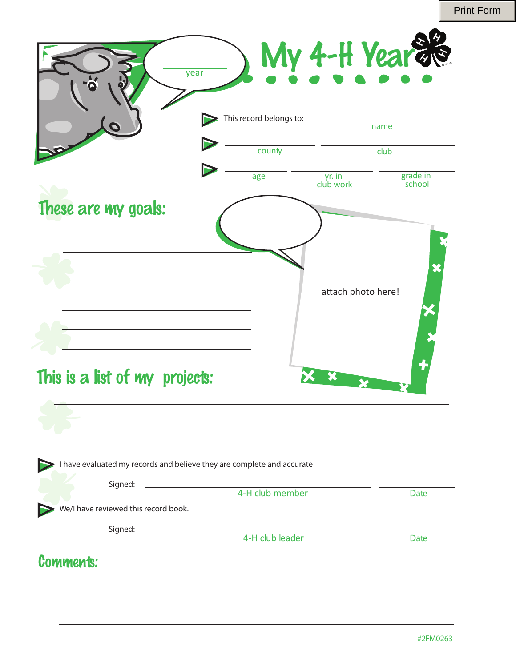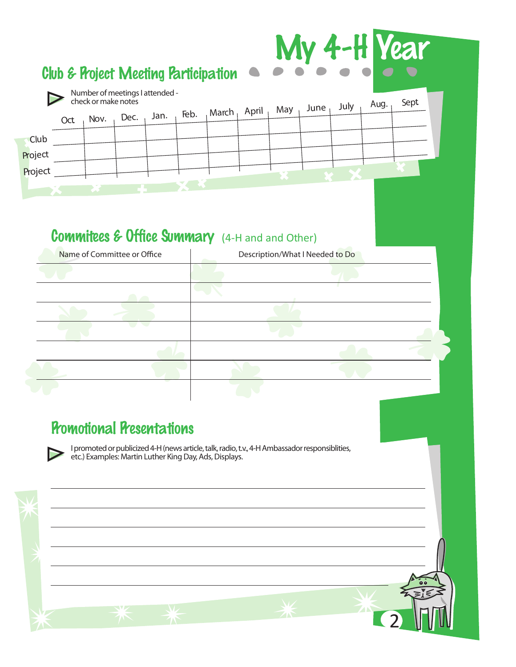|             |     |      |                                                        |      |      | <b>Club &amp; Project Meeting Participation</b> |       |     |      |      | My 4-H Year |      |  |
|-------------|-----|------|--------------------------------------------------------|------|------|-------------------------------------------------|-------|-----|------|------|-------------|------|--|
|             |     |      | Number of meetings I attended -<br>check or make notes |      |      |                                                 |       |     |      | July | Aug.        | Sept |  |
|             | Oct | Nov. | Dec.                                                   | Jan. | Feb. | March,                                          | April | May | June |      |             |      |  |
| <b>Club</b> |     |      |                                                        |      |      |                                                 |       |     |      |      |             |      |  |
| Project     |     |      |                                                        |      |      |                                                 |       |     |      |      |             |      |  |
| Project     |     |      |                                                        |      |      |                                                 |       |     |      |      |             |      |  |
|             |     |      |                                                        |      |      |                                                 |       |     |      |      |             |      |  |

# Commitees & Office Summary (4-H and and Other)

| Name of Committee or Office | Description/What I Needed to Do |  |  |  |  |
|-----------------------------|---------------------------------|--|--|--|--|
|                             |                                 |  |  |  |  |
|                             |                                 |  |  |  |  |
|                             |                                 |  |  |  |  |
|                             |                                 |  |  |  |  |
|                             |                                 |  |  |  |  |
|                             |                                 |  |  |  |  |
|                             |                                 |  |  |  |  |

### **Promotional Presentations**

 $\triangleright$ 

I promoted or publicized 4-H (news article, talk, radio, t.v., 4-H Ambassador responsiblities, etc.) Examples: Martin Luther King Day, Ads, Displays.

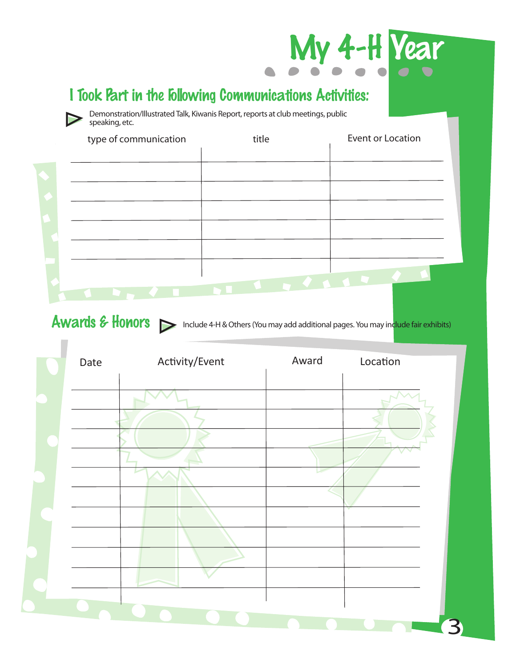

## I Took Part in the Following Communications Activities:

Demonstration/Illustrated Talk, Kiwanis Report, reports at club meetings, public speaking, etc.

| type of communication | title | Event or Location |
|-----------------------|-------|-------------------|
|                       |       |                   |
|                       |       |                   |
|                       |       |                   |
|                       |       |                   |
|                       |       |                   |
|                       |       |                   |
|                       |       |                   |
|                       |       |                   |

 $\overline{\phantom{a}}$ 

Awards & Honors > Include 4-H & Others (You may add additional pages. You may include fair exhibits)

| Date | Activity/Event | Award | Location |
|------|----------------|-------|----------|
|      |                |       |          |
|      |                |       |          |
|      |                |       |          |
|      |                |       |          |
|      |                |       |          |
|      |                |       |          |
|      |                |       |          |
|      |                |       |          |
|      |                |       |          |
|      |                |       |          |
|      |                |       |          |